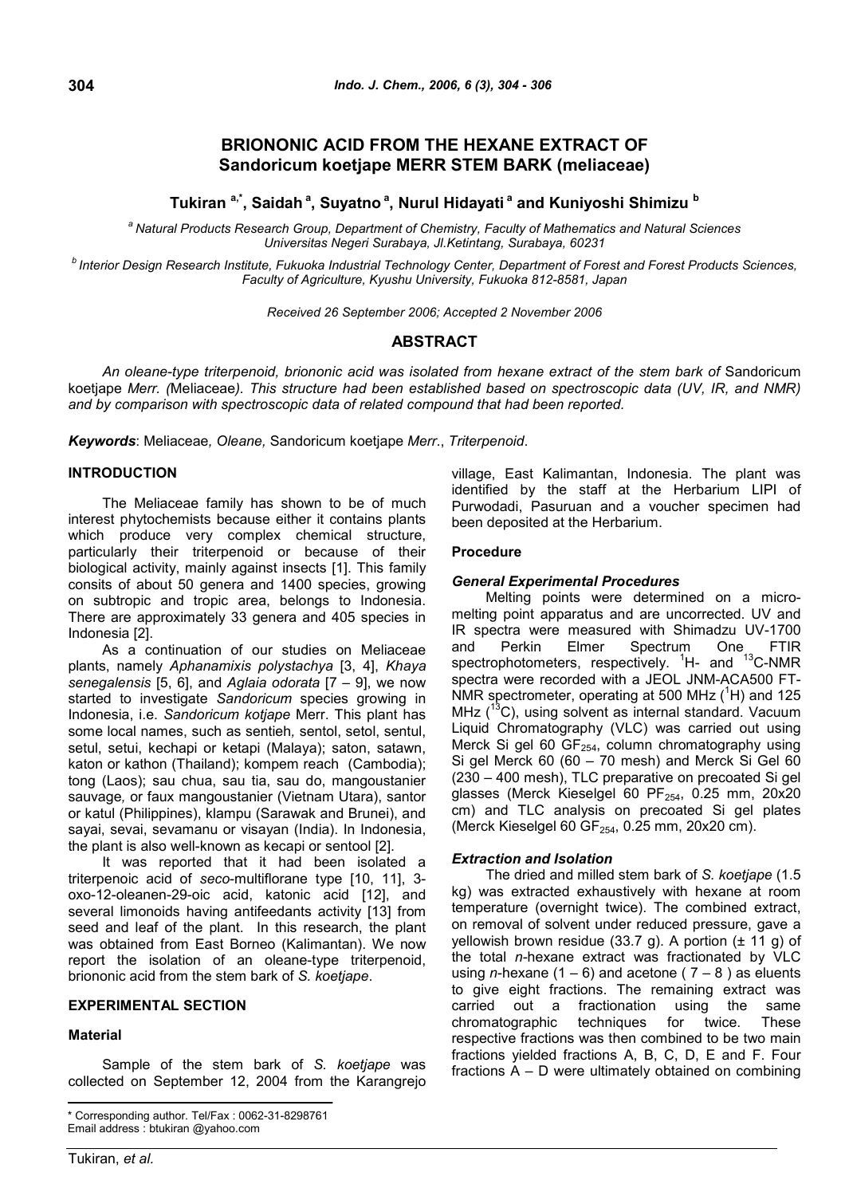# **BRIONONIC ACID FROM THE HEXANE EXTRACT OF Sandoricum koetjape MERR STEM BARK (meliaceae)**

# **Tukiran a,\* , Saidah <sup>a</sup> , Suyatno <sup>a</sup> , Nurul Hidayati <sup>a</sup> and Kuniyoshi Shimizu <sup>b</sup>**

*<sup>a</sup> Natural Products Research Group, Department of Chemistry, Faculty of Mathematics and Natural Sciences Universitas Negeri Surabaya, Jl.Ketintang, Surabaya, 60231*

*b Interior Design Research Institute, Fukuoka Industrial Technology Center, Department of Forest and Forest Products Sciences, Faculty of Agriculture, Kyushu University, Fukuoka 812-8581, Japan*

*Received 26 September 2006; Accepted 2 November 2006*

### **ABSTRACT**

*An oleane-type triterpenoid, briononic acid was isolated from hexane extract of the stem bark of* Sandoricum koetjape *Merr. (*Meliaceae*). This structure had been established based on spectroscopic data (UV, IR, and NMR) and by comparison with spectroscopic data of related compound that had been reported.*

*Keywords*: Meliaceae*, Oleane,* Sandoricum koetjape *Merr*., *Triterpenoid*.

#### **INTRODUCTION**

The Meliaceae family has shown to be of much interest phytochemists because either it contains plants which produce very complex chemical structure, particularly their triterpenoid or because of their biological activity, mainly against insects [1]. This family consits of about 50 genera and 1400 species, growing on subtropic and tropic area, belongs to Indonesia. There are approximately 33 genera and 405 species in Indonesia [2].

As a continuation of our studies on Meliaceae plants, namely *Aphanamixis polystachya* [3, 4], *Khaya senegalensis* [5, 6], and *Aglaia odorata* [7 – 9], we now started to investigate *Sandoricum* species growing in Indonesia, i.e. *Sandoricum kotjape* Merr. This plant has some local names, such as sentieh*,* sentol, setol, sentul, setul, setui, kechapi or ketapi (Malaya); saton, satawn, katon or kathon (Thailand); kompem reach (Cambodia); tong (Laos); sau chua, sau tia, sau do, mangoustanier sauvage*,* or faux mangoustanier (Vietnam Utara), santor or katul (Philippines), klampu (Sarawak and Brunei), and sayai, sevai, sevamanu or visayan (India). In Indonesia, the plant is also well-known as kecapi or sentool [2].

It was reported that it had been isolated a triterpenoic acid of *seco*-multiflorane type [10, 11], 3 oxo-12-oleanen-29-oic acid, katonic acid [12], and several limonoids having antifeedants activity [13] from seed and leaf of the plant. In this research, the plant was obtained from East Borneo (Kalimantan). We now report the isolation of an oleane-type triterpenoid, briononic acid from the stem bark of *S. koetjape*.

## **EXPERIMENTAL SECTION**

#### **Material**

Sample of the stem bark of *S. koetjape* was collected on September 12, 2004 from the Karangrejo village, East Kalimantan, Indonesia. The plant was identified by the staff at the Herbarium LIPI of Purwodadi, Pasuruan and a voucher specimen had been deposited at the Herbarium.

## **Procedure**

#### *General Experimental Procedures*

Melting points were determined on a micromelting point apparatus and are uncorrected. UV and IR spectra were measured with Shimadzu UV-1700 and Perkin Elmer Spectrum One FTIR spectrophotometers, respectively. <sup>1</sup>H- and <sup>13</sup>C-NMR spectra were recorded with a JEOL JNM-ACA500 FT-NMR spectrometer, operating at 500 MHz  $(^1H)$  and 125 MHz  $(^{13}C)$ , using solvent as internal standard. Vacuum Liquid Chromatography (VLC) was carried out using Merck Si gel 60 GF $_{254}$ , column chromatography using Si gel Merck 60 (60 – 70 mesh) and Merck Si Gel 60 (230 – 400 mesh), TLC preparative on precoated Si gel glasses (Merck Kieselgel 60 PF<sub>254</sub>, 0.25 mm, 20x20 cm) and TLC analysis on precoated Si gel plates (Merck Kieselgel 60 GF<sub>254</sub>, 0.25 mm, 20x20 cm).

#### *Extraction and Isolation*

The dried and milled stem bark of *S. koetjape* (1.5 kg) was extracted exhaustively with hexane at room temperature (overnight twice). The combined extract, on removal of solvent under reduced pressure, gave a yellowish brown residue  $(33.7 g)$ . A portion  $(± 11 g)$  of the total *n-*hexane extract was fractionated by VLC using *n*-hexane  $(1 - 6)$  and acetone  $(7 - 8)$  as eluents to give eight fractions. The remaining extract was carried out a fractionation using the same chromatographic techniques for twice. These respective fractions was then combined to be two main fractions yielded fractions A, B, C, D, E and F. Four fractions A – D were ultimately obtained on combining

<sup>\*</sup> Corresponding author. Tel/Fax : 0062-31-8298761 Email address : btukiran @yahoo.com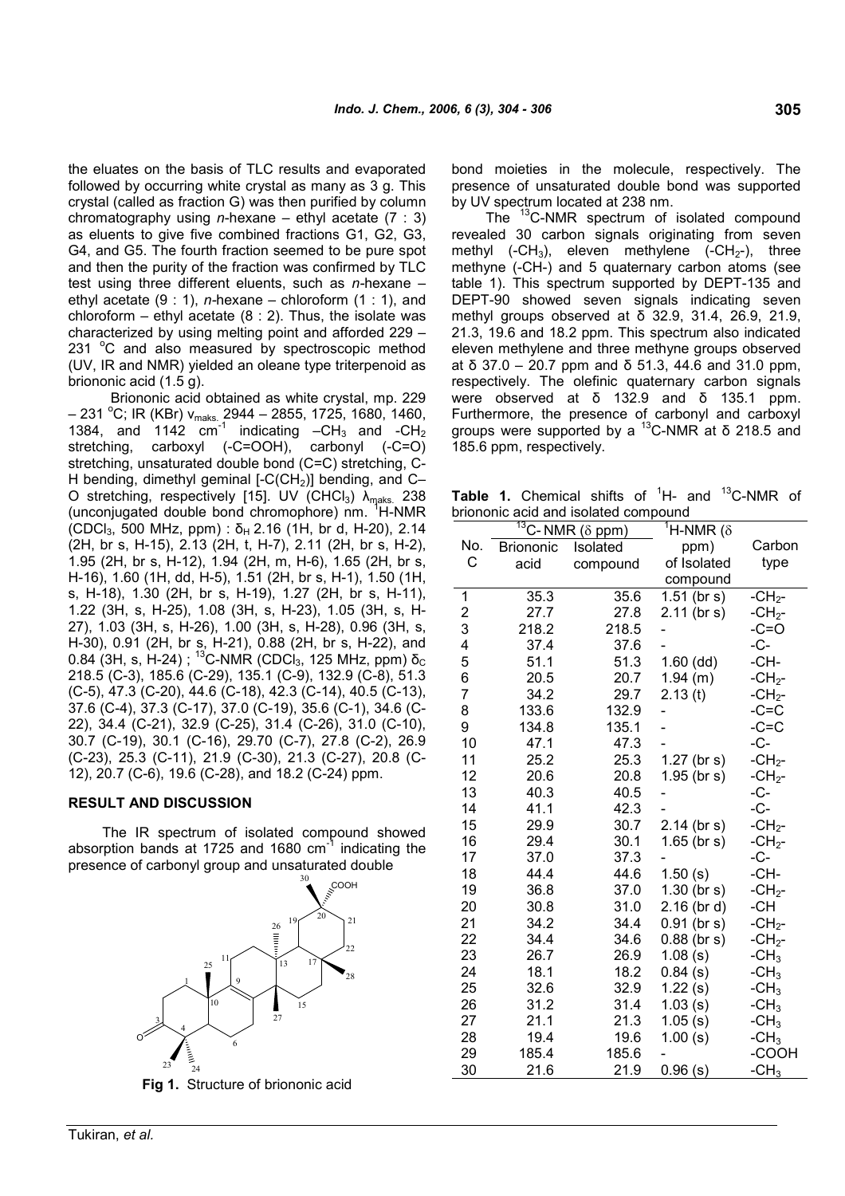the eluates on the basis of TLC results and evaporated followed by occurring white crystal as many as 3 g. This crystal (called as fraction G) was then purified by column chromatography using *n*-hexane – ethyl acetate (7 : 3) as eluents to give five combined fractions G1, G2, G3, G4, and G5. The fourth fraction seemed to be pure spot and then the purity of the fraction was confirmed by TLC test using three different eluents, such as *n-*hexane – ethyl acetate (9 : 1), *n-*hexane – chloroform (1 : 1), and chloroform – ethyl acetate  $(8:2)$ . Thus, the isolate was characterized by using melting point and afforded 229 – 231  $^{\circ}$ C and also measured by spectroscopic method (UV, IR and NMR) yielded an oleane type triterpenoid as briononic acid (1.5 g).

Briononic acid obtained as white crystal, mp. 229 – 231 °C; IR (KBr) v<sub>maks.</sub> 2944 – 2855, 1725, 1680, 1460, 1384, and 1142  $cm^{-1}$  indicating  $-CH_3$  and  $-CH_2$ stretching, carboxyl (-C=OOH), carbonyl (-C=O) stretching, unsaturated double bond (C=C) stretching, C-H bending, dimethyl geminal  $[-C(CH<sub>2</sub>)]$  bending, and C-O stretching, respectively [15]. UV (CHCl<sub>3</sub>)  $λ_{\text{maks}}$  238 (unconjugated double bond chromophore) nm. <sup>1</sup>H-NMR (CDCl<sub>3</sub>, 500 MHz, ppm) :  $\delta_H$  2.16 (1H, br d, H-20), 2.14 (2H, br s, H-15), 2.13 (2H, t, H-7), 2.11 (2H, br s, H-2), 1.95 (2H, br s, H-12), 1.94 (2H, m, H-6), 1.65 (2H, br s, H-16), 1.60 (1H, dd, H-5), 1.51 (2H, br s, H-1), 1.50 (1H, s, H-18), 1.30 (2H, br s, H-19), 1.27 (2H, br s, H-11), 1.22 (3H, s, H-25), 1.08 (3H, s, H-23), 1.05 (3H, s, H-27), 1.03 (3H, s, H-26), 1.00 (3H, s, H-28), 0.96 (3H, s, H-30), 0.91 (2H, br s, H-21), 0.88 (2H, br s, H-22), and 0.84 (3H, s, H-24) ; <sup>13</sup>C-NMR (CDCl<sub>3</sub>, 125 MHz, ppm)  $\delta_c$ 218.5 (C-3), 185.6 (C-29), 135.1 (C-9), 132.9 (C-8), 51.3 (C-5), 47.3 (C-20), 44.6 (C-18), 42.3 (C-14), 40.5 (C-13), 37.6 (C-4), 37.3 (C-17), 37.0 (C-19), 35.6 (C-1), 34.6 (C-22), 34.4 (C-21), 32.9 (C-25), 31.4 (C-26), 31.0 (C-10), 30.7 (C-19), 30.1 (C-16), 29.70 (C-7), 27.8 (C-2), 26.9 (C-23), 25.3 (C-11), 21.9 (C-30), 21.3 (C-27), 20.8 (C-12), 20.7 (C-6), 19.6 (C-28), and 18.2 (C-24) ppm.

### **RESULT AND DISCUSSION**

The IR spectrum of isolated compound showed absorption bands at 1725 and 1680 cm<sup>-1</sup> indicating the presence of carbonyl group and unsaturated double



**Fig 1.** Structure of briononic acid

bond moieties in the molecule, respectively. The presence of unsaturated double bond was supported by UV spectrum located at 238 nm.

The <sup>13</sup>C-NMR spectrum of isolated compound revealed 30 carbon signals originating from seven methyl (-CH<sub>3</sub>), eleven methylene (-CH<sub>2</sub>-), three methyne (-CH-) and 5 quaternary carbon atoms (see table 1). This spectrum supported by DEPT-135 and DEPT-90 showed seven signals indicating seven methyl groups observed at δ 32.9, 31.4, 26.9, 21.9, 21.3, 19.6 and 18.2 ppm. This spectrum also indicated eleven methylene and three methyne groups observed at δ 37.0 – 20.7 ppm and δ 51.3, 44.6 and 31.0 ppm, respectively. The olefinic quaternary carbon signals were observed at δ 132.9 and δ 135.1 ppm. Furthermore, the presence of carbonyl and carboxyl groups were supported by  $a<sup>-13</sup>C-NMR$  at δ 218.5 and 185.6 ppm, respectively.

**Table 1.** Chemical shifts of <sup>1</sup>H- and <sup>13</sup>C-NMR of briononic acid and isolated compound

|                         | $\sqrt[13]{13}$ C-NMR ( $\delta$ ppm) |          | $^7$ H-NMR ( $\delta$ |          |
|-------------------------|---------------------------------------|----------|-----------------------|----------|
| No.                     | <b>Briononic</b>                      | Isolated | ppm)                  | Carbon   |
| С                       | acid                                  | compound | of Isolated           | type     |
|                         |                                       |          | compound              |          |
| 1                       | 35.3                                  | 35.6     | $1.51$ (br s)         | $-CH2$ - |
| $\overline{\mathbf{c}}$ | 27.7                                  | 27.8     | $2.11$ (br s)         | $-CH2$   |
| 3                       | 218.2                                 | 218.5    |                       | $-C=O$   |
| 4                       | 37.4                                  | 37.6     |                       | -C-      |
| 5                       | 51.1                                  | 51.3     | $1.60$ (dd)           | -CH-     |
| 6                       | 20.5                                  | 20.7     | 1.94 (m)              | $-CH2$   |
| 7                       | 34.2                                  | 29.7     | 2.13(t)               | $-CH2$   |
| 8                       | 133.6                                 | 132.9    |                       | $-C=C$   |
| 9                       | 134.8                                 | 135.1    |                       | $-C=C$   |
| 10                      | 47.1                                  | 47.3     |                       | $-C-$    |
| 11                      | 25.2                                  | 25.3     | $1.27$ (br s)         | $-CH2$   |
| 12                      | 20.6                                  | 20.8     | $1.95$ (br s)         | $-CH2$   |
| 13                      | 40.3                                  | 40.5     |                       | $-C-$    |
| 14                      | 41.1                                  | 42.3     |                       | $-C-$    |
| 15                      | 29.9                                  | 30.7     | $2.14$ (br s)         | $-CH2$   |
| 16                      | 29.4                                  | 30.1     | $1.65$ (br s)         | $-CH2$   |
| 17                      | 37.0                                  | 37.3     |                       | -C-      |
| 18                      | 44.4                                  | 44.6     | 1.50(s)               | -CH-     |
| 19                      | 36.8                                  | 37.0     | $1.30$ (br s)         | $-CH2$   |
| 20                      | 30.8                                  | 31.0     | $2.16$ (br d)         | -CH      |
| 21                      | 34.2                                  | 34.4     | $0.91$ (br s)         | $-CH2$   |
| 22                      | 34.4                                  | 34.6     | $0.88$ (br s)         | $-CH2$   |
| 23                      | 26.7                                  | 26.9     | 1.08(s)               | $-CH3$   |
| 24                      | 18.1                                  | 18.2     | 0.84(s)               | $-CH3$   |
| 25                      | 32.6                                  | 32.9     | 1.22(s)               | $-CH3$   |
| 26                      | 31.2                                  | 31.4     | 1.03(s)               | $-CH3$   |
| 27                      | 21.1                                  | 21.3     | 1.05(s)               | $-CH3$   |
| 28                      | 19.4                                  | 19.6     | 1.00(s)               | $-CH3$   |
| 29                      | 185.4                                 | 185.6    |                       | -COOH    |
| 30                      | 21.6                                  | 21.9     | 0.96(s)               | $-CH3$   |